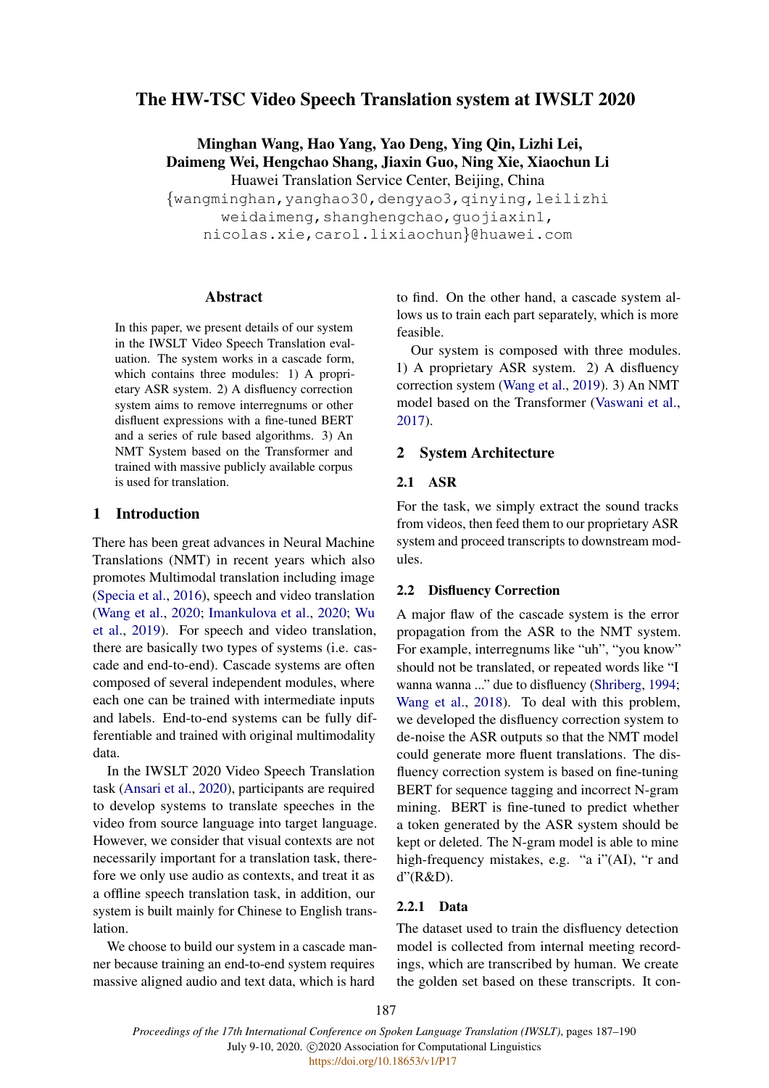# The HW-TSC Video Speech Translation system at IWSLT 2020

Minghan Wang, Hao Yang, Yao Deng, Ying Qin, Lizhi Lei, Daimeng Wei, Hengchao Shang, Jiaxin Guo, Ning Xie, Xiaochun Li Huawei Translation Service Center, Beijing, China

{wangminghan,yanghao30,dengyao3,qinying,leilizhi weidaimeng, shanghengchao, quojiaxin1, nicolas.xie,carol.lixiaochun}@huawei.com

### Abstract

In this paper, we present details of our system in the IWSLT Video Speech Translation evaluation. The system works in a cascade form, which contains three modules: 1) A proprietary ASR system. 2) A disfluency correction system aims to remove interregnums or other disfluent expressions with a fine-tuned BERT and a series of rule based algorithms. 3) An NMT System based on the Transformer and trained with massive publicly available corpus is used for translation.

### 1 Introduction

There has been great advances in Neural Machine Translations (NMT) in recent years which also promotes Multimodal translation including image [\(Specia et al.,](#page-2-0) [2016\)](#page-2-0), speech and video translation [\(Wang et al.,](#page-2-1) [2020;](#page-2-1) [Imankulova et al.,](#page-2-2) [2020;](#page-2-2) [Wu](#page-3-0) [et al.,](#page-3-0) [2019\)](#page-3-0). For speech and video translation, there are basically two types of systems (i.e. cascade and end-to-end). Cascade systems are often composed of several independent modules, where each one can be trained with intermediate inputs and labels. End-to-end systems can be fully differentiable and trained with original multimodality data.

In the IWSLT 2020 Video Speech Translation task [\(Ansari et al.,](#page-2-3) [2020\)](#page-2-3), participants are required to develop systems to translate speeches in the video from source language into target language. However, we consider that visual contexts are not necessarily important for a translation task, therefore we only use audio as contexts, and treat it as a offline speech translation task, in addition, our system is built mainly for Chinese to English translation.

We choose to build our system in a cascade manner because training an end-to-end system requires massive aligned audio and text data, which is hard

to find. On the other hand, a cascade system allows us to train each part separately, which is more feasible.

Our system is composed with three modules. 1) A proprietary ASR system. 2) A disfluency correction system [\(Wang et al.,](#page-3-1) [2019\)](#page-3-1). 3) An NMT model based on the Transformer [\(Vaswani et al.,](#page-2-4) [2017\)](#page-2-4).

### 2 System Architecture

### 2.1 ASR

For the task, we simply extract the sound tracks from videos, then feed them to our proprietary ASR system and proceed transcripts to downstream modules.

### 2.2 Disfluency Correction

A major flaw of the cascade system is the error propagation from the ASR to the NMT system. For example, interregnums like "uh", "you know" should not be translated, or repeated words like "I wanna wanna ..." due to disfluency [\(Shriberg,](#page-2-5) [1994;](#page-2-5) [Wang et al.,](#page-2-6) [2018\)](#page-2-6). To deal with this problem, we developed the disfluency correction system to de-noise the ASR outputs so that the NMT model could generate more fluent translations. The disfluency correction system is based on fine-tuning BERT for sequence tagging and incorrect N-gram mining. BERT is fine-tuned to predict whether a token generated by the ASR system should be kept or deleted. The N-gram model is able to mine high-frequency mistakes, e.g. "a i"(AI), "r and d"(R&D).

#### 2.2.1 Data

The dataset used to train the disfluency detection model is collected from internal meeting recordings, which are transcribed by human. We create the golden set based on these transcripts. It con-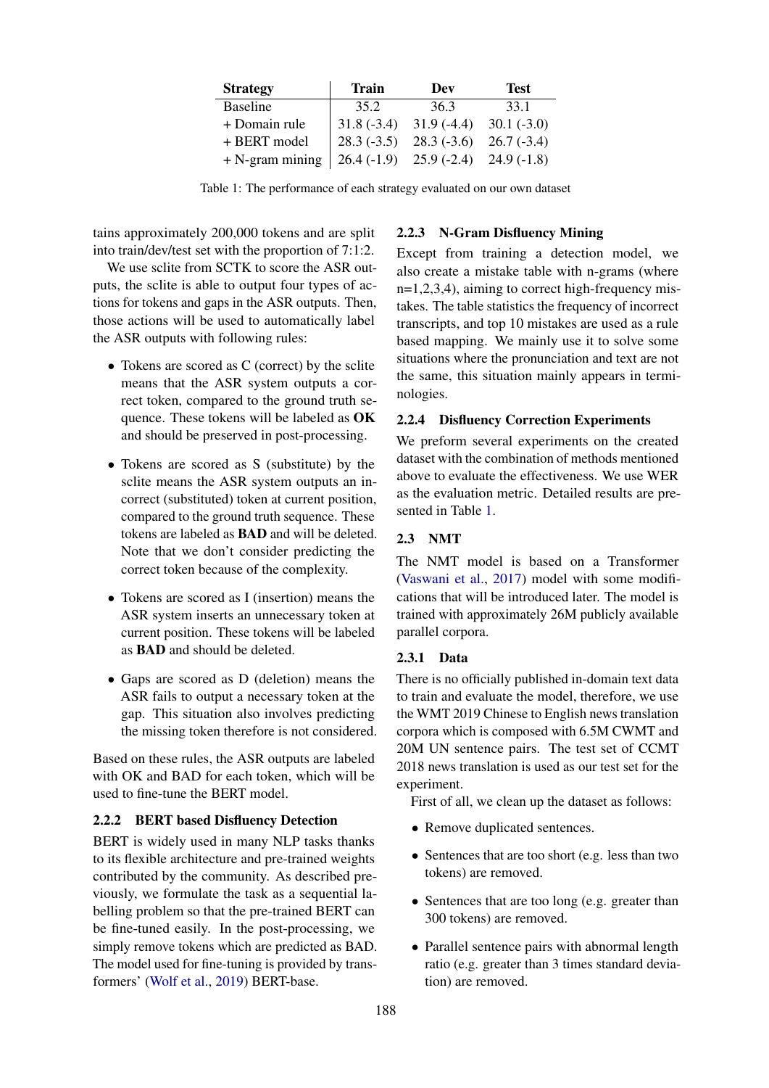<span id="page-1-0"></span>

| <b>Strategy</b>   | Train        | Dev          | <b>Test</b>  |
|-------------------|--------------|--------------|--------------|
| <b>Baseline</b>   | 35.2         | 36.3         | 33.1         |
| + Domain rule     | $31.8(-3.4)$ | $31.9(-4.4)$ | $30.1(-3.0)$ |
| + BERT model      | $28.3(-3.5)$ | $28.3(-3.6)$ | $26.7(-3.4)$ |
| $+$ N-gram mining | $26.4(-1.9)$ | $25.9(-2.4)$ | $24.9(-1.8)$ |

Table 1: The performance of each strategy evaluated on our own dataset

tains approximately 200,000 tokens and are split into train/dev/test set with the proportion of 7:1:2.

We use sclite from SCTK to score the ASR outputs, the sclite is able to output four types of actions for tokens and gaps in the ASR outputs. Then, those actions will be used to automatically label the ASR outputs with following rules:

- Tokens are scored as C (correct) by the sclite means that the ASR system outputs a correct token, compared to the ground truth sequence. These tokens will be labeled as OK and should be preserved in post-processing.
- Tokens are scored as S (substitute) by the sclite means the ASR system outputs an incorrect (substituted) token at current position, compared to the ground truth sequence. These tokens are labeled as BAD and will be deleted. Note that we don't consider predicting the correct token because of the complexity.
- Tokens are scored as I (insertion) means the ASR system inserts an unnecessary token at current position. These tokens will be labeled as BAD and should be deleted.
- Gaps are scored as D (deletion) means the ASR fails to output a necessary token at the gap. This situation also involves predicting the missing token therefore is not considered.

Based on these rules, the ASR outputs are labeled with OK and BAD for each token, which will be used to fine-tune the BERT model.

## 2.2.2 BERT based Disfluency Detection

BERT is widely used in many NLP tasks thanks to its flexible architecture and pre-trained weights contributed by the community. As described previously, we formulate the task as a sequential labelling problem so that the pre-trained BERT can be fine-tuned easily. In the post-processing, we simply remove tokens which are predicted as BAD. The model used for fine-tuning is provided by transformers' [\(Wolf et al.,](#page-3-2) [2019\)](#page-3-2) BERT-base.

# 2.2.3 N-Gram Disfluency Mining

Except from training a detection model, we also create a mistake table with n-grams (where n=1,2,3,4), aiming to correct high-frequency mistakes. The table statistics the frequency of incorrect transcripts, and top 10 mistakes are used as a rule based mapping. We mainly use it to solve some situations where the pronunciation and text are not the same, this situation mainly appears in terminologies.

# 2.2.4 Disfluency Correction Experiments

We preform several experiments on the created dataset with the combination of methods mentioned above to evaluate the effectiveness. We use WER as the evaluation metric. Detailed results are presented in Table [1.](#page-1-0)

# 2.3 NMT

The NMT model is based on a Transformer [\(Vaswani et al.,](#page-2-4) [2017\)](#page-2-4) model with some modifications that will be introduced later. The model is trained with approximately 26M publicly available parallel corpora.

### <span id="page-1-1"></span>2.3.1 Data

There is no officially published in-domain text data to train and evaluate the model, therefore, we use the WMT 2019 Chinese to English news translation corpora which is composed with 6.5M CWMT and 20M UN sentence pairs. The test set of CCMT 2018 news translation is used as our test set for the experiment.

First of all, we clean up the dataset as follows:

- Remove duplicated sentences.
- Sentences that are too short (e.g. less than two tokens) are removed.
- Sentences that are too long (e.g. greater than 300 tokens) are removed.
- Parallel sentence pairs with abnormal length ratio (e.g. greater than 3 times standard deviation) are removed.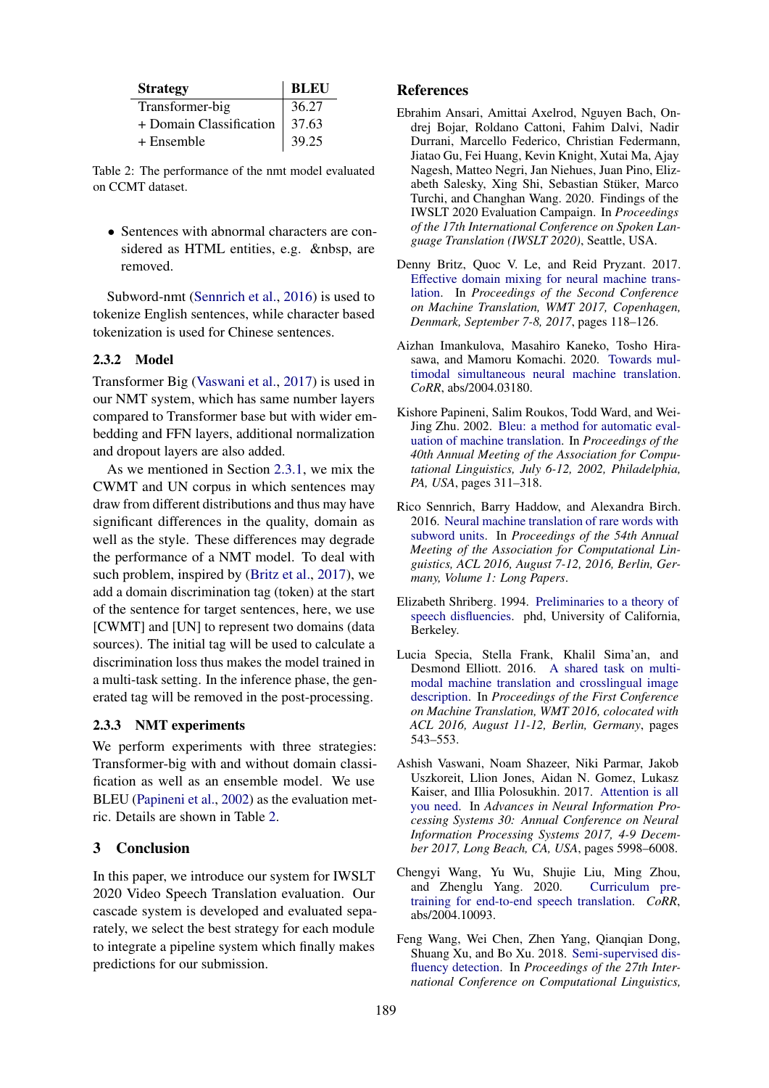<span id="page-2-10"></span>

| <b>Strategy</b>         | <b>BLEU</b> |
|-------------------------|-------------|
| Transformer-big         | 36.27       |
| + Domain Classification | 37.63       |
| + Ensemble              | 39.25       |

Table 2: The performance of the nmt model evaluated on CCMT dataset.

• Sentences with abnormal characters are considered as HTML entities, e.g. &nbsp, are removed.

Subword-nmt [\(Sennrich et al.,](#page-2-7) [2016\)](#page-2-7) is used to tokenize English sentences, while character based tokenization is used for Chinese sentences.

### 2.3.2 Model

Transformer Big [\(Vaswani et al.,](#page-2-4) [2017\)](#page-2-4) is used in our NMT system, which has same number layers compared to Transformer base but with wider embedding and FFN layers, additional normalization and dropout layers are also added.

As we mentioned in Section [2.3.1,](#page-1-1) we mix the CWMT and UN corpus in which sentences may draw from different distributions and thus may have significant differences in the quality, domain as well as the style. These differences may degrade the performance of a NMT model. To deal with such problem, inspired by [\(Britz et al.,](#page-2-8) [2017\)](#page-2-8), we add a domain discrimination tag (token) at the start of the sentence for target sentences, here, we use [CWMT] and [UN] to represent two domains (data sources). The initial tag will be used to calculate a discrimination loss thus makes the model trained in a multi-task setting. In the inference phase, the generated tag will be removed in the post-processing.

#### 2.3.3 NMT experiments

We perform experiments with three strategies: Transformer-big with and without domain classification as well as an ensemble model. We use BLEU [\(Papineni et al.,](#page-2-9) [2002\)](#page-2-9) as the evaluation metric. Details are shown in Table [2.](#page-2-10)

### 3 Conclusion

In this paper, we introduce our system for IWSLT 2020 Video Speech Translation evaluation. Our cascade system is developed and evaluated separately, we select the best strategy for each module to integrate a pipeline system which finally makes predictions for our submission.

#### References

- <span id="page-2-3"></span>Ebrahim Ansari, Amittai Axelrod, Nguyen Bach, Ondrej Bojar, Roldano Cattoni, Fahim Dalvi, Nadir Durrani, Marcello Federico, Christian Federmann, Jiatao Gu, Fei Huang, Kevin Knight, Xutai Ma, Ajay Nagesh, Matteo Negri, Jan Niehues, Juan Pino, Elizabeth Salesky, Xing Shi, Sebastian Stuker, Marco ¨ Turchi, and Changhan Wang. 2020. Findings of the IWSLT 2020 Evaluation Campaign. In *Proceedings of the 17th International Conference on Spoken Language Translation (IWSLT 2020)*, Seattle, USA.
- <span id="page-2-8"></span>Denny Britz, Quoc V. Le, and Reid Pryzant. 2017. [Effective domain mixing for neural machine trans](https://doi.org/10.18653/v1/w17-4712)[lation.](https://doi.org/10.18653/v1/w17-4712) In *Proceedings of the Second Conference on Machine Translation, WMT 2017, Copenhagen, Denmark, September 7-8, 2017*, pages 118–126.
- <span id="page-2-2"></span>Aizhan Imankulova, Masahiro Kaneko, Tosho Hirasawa, and Mamoru Komachi. 2020. [Towards mul](http://arxiv.org/abs/2004.03180)[timodal simultaneous neural machine translation.](http://arxiv.org/abs/2004.03180) *CoRR*, abs/2004.03180.
- <span id="page-2-9"></span>Kishore Papineni, Salim Roukos, Todd Ward, and Wei-Jing Zhu. 2002. [Bleu: a method for automatic eval](https://www.aclweb.org/anthology/P02-1040/)[uation of machine translation.](https://www.aclweb.org/anthology/P02-1040/) In *Proceedings of the 40th Annual Meeting of the Association for Computational Linguistics, July 6-12, 2002, Philadelphia, PA, USA*, pages 311–318.
- <span id="page-2-7"></span>Rico Sennrich, Barry Haddow, and Alexandra Birch. 2016. [Neural machine translation of rare words with](https://doi.org/10.18653/v1/p16-1162) [subword units.](https://doi.org/10.18653/v1/p16-1162) In *Proceedings of the 54th Annual Meeting of the Association for Computational Linguistics, ACL 2016, August 7-12, 2016, Berlin, Germany, Volume 1: Long Papers*.
- <span id="page-2-5"></span>Elizabeth Shriberg. 1994. [Preliminaries to a theory of](http://www.speech.sri.com/people/ees/publications.html) [speech disfluencies.](http://www.speech.sri.com/people/ees/publications.html) phd, University of California, Berkeley.
- <span id="page-2-0"></span>Lucia Specia, Stella Frank, Khalil Sima'an, and Desmond Elliott. 2016. [A shared task on multi](https://www.aclweb.org/anthology/W16-2346/)[modal machine translation and crosslingual image](https://www.aclweb.org/anthology/W16-2346/) [description.](https://www.aclweb.org/anthology/W16-2346/) In *Proceedings of the First Conference on Machine Translation, WMT 2016, colocated with ACL 2016, August 11-12, Berlin, Germany*, pages 543–553.
- <span id="page-2-4"></span>Ashish Vaswani, Noam Shazeer, Niki Parmar, Jakob Uszkoreit, Llion Jones, Aidan N. Gomez, Lukasz Kaiser, and Illia Polosukhin. 2017. [Attention is all](http://papers.nips.cc/paper/7181-attention-is-all-you-need) [you need.](http://papers.nips.cc/paper/7181-attention-is-all-you-need) In *Advances in Neural Information Processing Systems 30: Annual Conference on Neural Information Processing Systems 2017, 4-9 December 2017, Long Beach, CA, USA*, pages 5998–6008.
- <span id="page-2-1"></span>Chengyi Wang, Yu Wu, Shujie Liu, Ming Zhou, and Zhenglu Yang. 2020. [Curriculum pre](http://arxiv.org/abs/2004.10093)[training for end-to-end speech translation.](http://arxiv.org/abs/2004.10093) *CoRR*, abs/2004.10093.
- <span id="page-2-6"></span>Feng Wang, Wei Chen, Zhen Yang, Qianqian Dong, Shuang Xu, and Bo Xu. 2018. [Semi-supervised dis](https://www.aclweb.org/anthology/C18-1299/)[fluency detection.](https://www.aclweb.org/anthology/C18-1299/) In *Proceedings of the 27th International Conference on Computational Linguistics,*